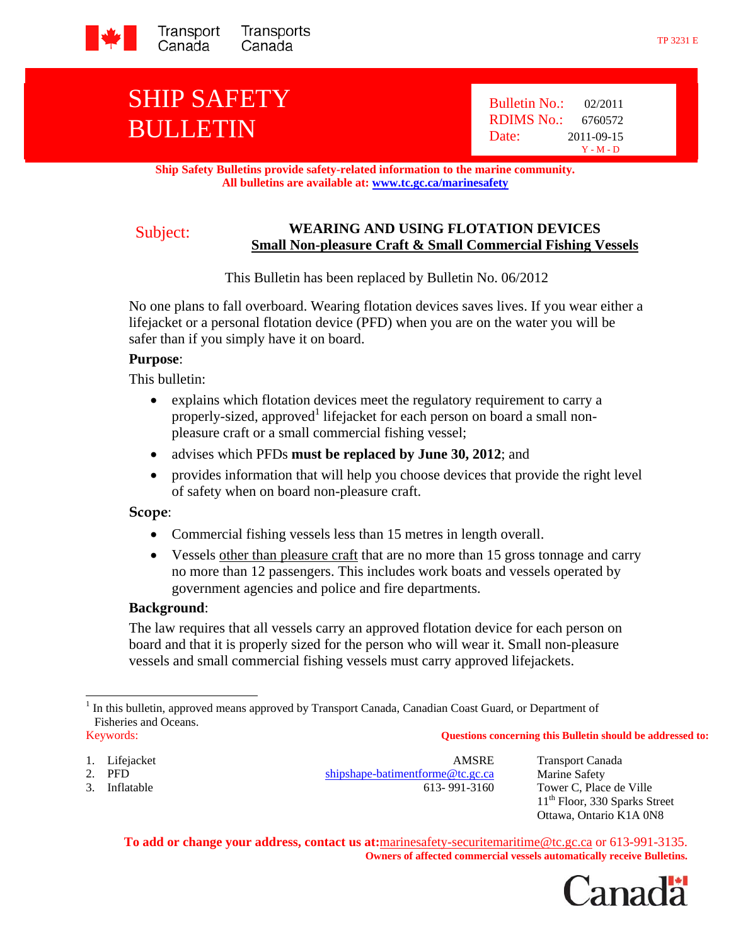

# SHIP SAFETY BULLETIN

 Bulletin No.: 02/2011 RDIMS No.: 6760572 Date: 2011-09-15 Y - M - D

**Ship Safety Bulletins provide safety-related information to the marine community. All bulletins are available at: www.tc.gc.ca/marinesafety**

# Subject: **WEARING AND USING FLOTATION DEVICES Small Non-pleasure Craft & Small Commercial Fishing Vessels**

This Bulletin has been replaced by Bulletin No. 06/2012

No one plans to fall overboard. Wearing flotation devices saves lives. If you wear either a lifejacket or a personal flotation device (PFD) when you are on the water you will be safer than if you simply have it on board.

#### **Purpose**:

This bulletin:

- explains which flotation devices meet the regulatory requirement to carry a properly-sized, approved<sup>1</sup> lifejacket for each person on board a small nonpleasure craft or a small commercial fishing vessel;
- advises which PFDs **must be replaced by June 30, 2012**; and
- provides information that will help you choose devices that provide the right level of safety when on board non-pleasure craft.

#### **Scope**:

- Commercial fishing vessels less than 15 metres in length overall.
- Vessels other than pleasure craft that are no more than 15 gross tonnage and carry no more than 12 passengers. This includes work boats and vessels operated by government agencies and police and fire departments.

#### **Background**:

The law requires that all vessels carry an approved flotation device for each person on board and that it is properly sized for the person who will wear it. Small non-pleasure vessels and small commercial fishing vessels must carry approved lifejackets.

#### Keywords: **Questions concerning this Bulletin should be addressed to:**

- 
- 

 $\overline{\phantom{a}}$ 

1. Lifejacket **AMSRE** Transport Canada<br>
2. PFD **AMSRE** Transport Canada<br>
2. PFD **AMSRE** Transport Canada shipshape-batimentforme@tc.gc.ca Marine Safety 3. Inflatable 613- 991-3160 Tower C, Place de Ville

11<sup>th</sup> Floor, 330 Sparks Street Ottawa, Ontario K1A 0N8

**To add or change your address, contact us at:**marinesafety-securitemaritime@tc.gc.ca or 613-991-3135. **Owners of affected commercial vessels automatically receive Bulletins.** 

anada

<sup>&</sup>lt;sup>1</sup> In this bulletin, approved means approved by Transport Canada, Canadian Coast Guard, or Department of Fisheries and Oceans.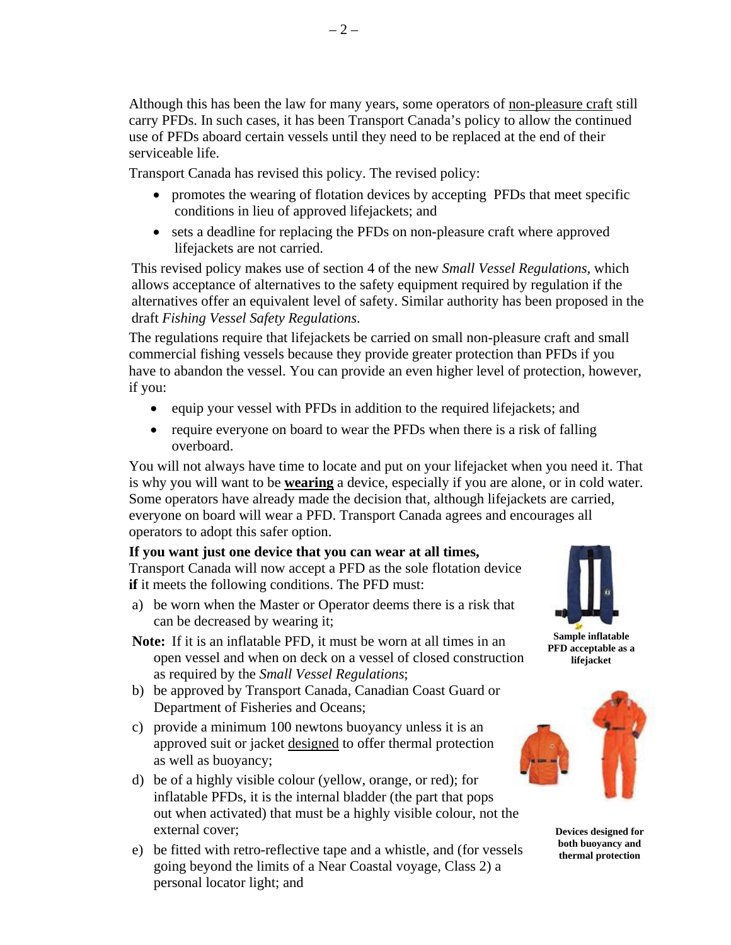Although this has been the law for many years, some operators of non-pleasure craft still carry PFDs. In such cases, it has been Transport Canada's policy to allow the continued use of PFDs aboard certain vessels until they need to be replaced at the end of their serviceable life.

Transport Canada has revised this policy. The revised policy:

- promotes the wearing of flotation devices by accepting PFDs that meet specific conditions in lieu of approved lifejackets; and
- sets a deadline for replacing the PFDs on non-pleasure craft where approved lifejackets are not carried.

This revised policy makes use of section 4 of the new *Small Vessel Regulations,* which allows acceptance of alternatives to the safety equipment required by regulation if the alternatives offer an equivalent level of safety. Similar authority has been proposed in the draft *Fishing Vessel Safety Regulations*.

The regulations require that lifejackets be carried on small non-pleasure craft and small commercial fishing vessels because they provide greater protection than PFDs if you have to abandon the vessel. You can provide an even higher level of protection, however, if you:

- equip your vessel with PFDs in addition to the required lifejackets; and
- require everyone on board to wear the PFDs when there is a risk of falling overboard.

You will not always have time to locate and put on your lifejacket when you need it. That is why you will want to be **wearing** a device, especially if you are alone, or in cold water. Some operators have already made the decision that, although lifejackets are carried, everyone on board will wear a PFD. Transport Canada agrees and encourages all operators to adopt this safer option.

# **If you want just one device that you can wear at all times,**

Transport Canada will now accept a PFD as the sole flotation device **if** it meets the following conditions. The PFD must:

a) be worn when the Master or Operator deems there is a risk that can be decreased by wearing it;

**Note:** If it is an inflatable PFD, it must be worn at all times in an open vessel and when on deck on a vessel of closed construction as required by the *Small Vessel Regulations*;

- b) be approved by Transport Canada, Canadian Coast Guard or Department of Fisheries and Oceans;
- c) provide a minimum 100 newtons buoyancy unless it is an approved suit or jacket designed to offer thermal protection as well as buoyancy;
- d) be of a highly visible colour (yellow, orange, or red); for inflatable PFDs, it is the internal bladder (the part that pops out when activated) that must be a highly visible colour, not the external cover;
- e) be fitted with retro-reflective tape and a whistle, and (for vessels going beyond the limits of a Near Coastal voyage, Class 2) a personal locator light; and



**Sample inflatable PFD acceptable as a lifejacket** 



**Devices designed for both buoyancy and thermal protection**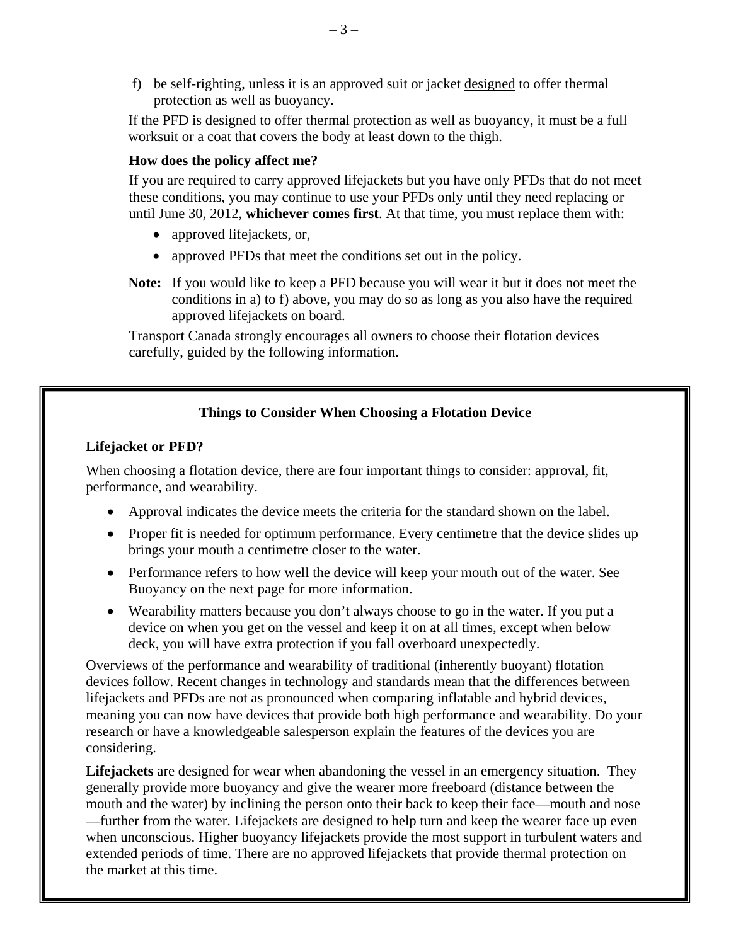f) be self-righting, unless it is an approved suit or jacket designed to offer thermal protection as well as buoyancy.

If the PFD is designed to offer thermal protection as well as buoyancy, it must be a full worksuit or a coat that covers the body at least down to the thigh.

# **How does the policy affect me?**

If you are required to carry approved lifejackets but you have only PFDs that do not meet these conditions, you may continue to use your PFDs only until they need replacing or until June 30, 2012, **whichever comes first**. At that time, you must replace them with:

- approved lifejackets, or,
- approved PFDs that meet the conditions set out in the policy.
- **Note:** If you would like to keep a PFD because you will wear it but it does not meet the conditions in a) to f) above, you may do so as long as you also have the required approved lifejackets on board.

Transport Canada strongly encourages all owners to choose their flotation devices carefully, guided by the following information.

# **Things to Consider When Choosing a Flotation Device**

## **Lifejacket or PFD?**

When choosing a flotation device, there are four important things to consider: approval, fit, performance, and wearability.

- Approval indicates the device meets the criteria for the standard shown on the label.
- Proper fit is needed for optimum performance. Every centimetre that the device slides up brings your mouth a centimetre closer to the water.
- Performance refers to how well the device will keep your mouth out of the water. See Buoyancy on the next page for more information.
- Wearability matters because you don't always choose to go in the water. If you put a device on when you get on the vessel and keep it on at all times, except when below deck, you will have extra protection if you fall overboard unexpectedly.

Overviews of the performance and wearability of traditional (inherently buoyant) flotation devices follow. Recent changes in technology and standards mean that the differences between lifejackets and PFDs are not as pronounced when comparing inflatable and hybrid devices, meaning you can now have devices that provide both high performance and wearability. Do your research or have a knowledgeable salesperson explain the features of the devices you are considering.

**Lifejackets** are designed for wear when abandoning the vessel in an emergency situation. They generally provide more buoyancy and give the wearer more freeboard (distance between the mouth and the water) by inclining the person onto their back to keep their face—mouth and nose —further from the water. Lifejackets are designed to help turn and keep the wearer face up even when unconscious. Higher buoyancy lifejackets provide the most support in turbulent waters and extended periods of time. There are no approved lifejackets that provide thermal protection on the market at this time.